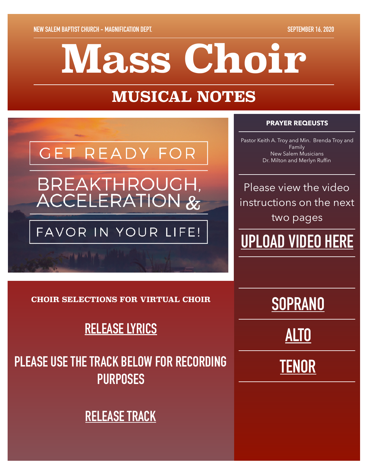# **Mass Choir**

# **MUSICAL NOTES**

# **GET READY FOR** BREAKTHROUGH, **ACCELERATION &**

## FAVOR IN YOUR LIFE!

**CONTRACTOR** 

#### **PRAYER REQEUSTS**

Pastor Keith A. Troy and Min. Brenda Troy and Family New Salem Musicians Dr. Milton and Merlyn Ruffin

Please view the video instructions on the next two pages

# **[UPLOAD VIDEO HERE](https://www.dropbox.com/request/AJj78yz2wAeUMRp3nOm0)**

**[SOPRANO](https://www.dropbox.com/s/oici2q7tqvszuk7/Release%20%28Soprano%29.m4a?dl=0)**

**[ALTO](https://www.dropbox.com/s/sdmc7d12atiyote/Release%20%28Alto%29.m4a?dl=0)**

**[TENOR](https://www.dropbox.com/s/3dcbavg667yyk3y/Release%20%28Tenor%29-2.m4a?dl=0)**

**CHOIR SELECTIONS FOR VIRTUAL CHOIR** 

### **[RELEASE LYRICS](https://www.dropbox.com/s/kslmjebfnjx3ooy/Release.pdf?dl=0)**

# **PLEASE USE THE TRACK BELOW FOR RECORDING PURPOSES**

### **[RELEASE TRACK](https://www.dropbox.com/s/ey73eoz46zaha2g/Release%20Music.mp3?dl=0)**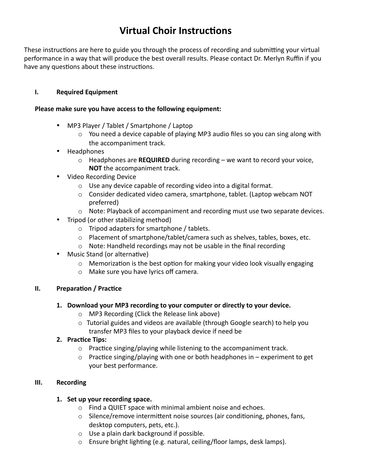#### **Virtual Choir Instructions**

These instructions are here to guide you through the process of recording and submitting your virtual performance in a way that will produce the best overall results. Please contact Dr. Merlyn Ruffin if you have any questions about these instructions.

#### **I.** Required Equipment

#### Please make sure you have access to the following equipment:

- MP3 Player / Tablet / Smartphone / Laptop
	- $\circ$  You need a device capable of playing MP3 audio files so you can sing along with the accompaniment track.
- Headphones
	- $\circ$  Headphones are **REQUIRED** during recording we want to record your voice, **NOT** the accompaniment track.
- Video Recording Device
	- $\circ$  Use any device capable of recording video into a digital format.
	- $\circ$  Consider dedicated video camera, smartphone, tablet. (Laptop webcam NOT preferred)
	- $\circ$  Note: Playback of accompaniment and recording must use two separate devices.
- Tripod (or other stabilizing method)
	- $\circ$  Tripod adapters for smartphone / tablets.
	- o Placement of smartphone/tablet/camera such as shelves, tables, boxes, etc.
	- $\circ$  Note: Handheld recordings may not be usable in the final recording
- Music Stand (or alternative)
	- $\circ$  Memorization is the best option for making your video look visually engaging
	- $\circ$  Make sure you have lyrics off camera.

#### **II.** Preparation / Practice

- **1.** Download your MP3 recording to your computer or directly to your device.
	- o MP3 Recording (Click the Release link above)
	- $\circ$  Tutorial guides and videos are available (through Google search) to help you transfer MP3 files to your playback device if need be

#### **2.** Practice Tips:

- $\circ$  Practice singing/playing while listening to the accompaniment track.
- $\circ$  Practice singing/playing with one or both headphones in experiment to get your best performance.

#### **III.** Recording

#### **1.** Set up your recording space.

- $\circ$  Find a QUIET space with minimal ambient noise and echoes.
- $\circ$  Silence/remove intermittent noise sources (air conditioning, phones, fans, desktop computers, pets, etc.).
- $\circ$  Use a plain dark background if possible.
- $\circ$  Ensure bright lighting (e.g. natural, ceiling/floor lamps, desk lamps).